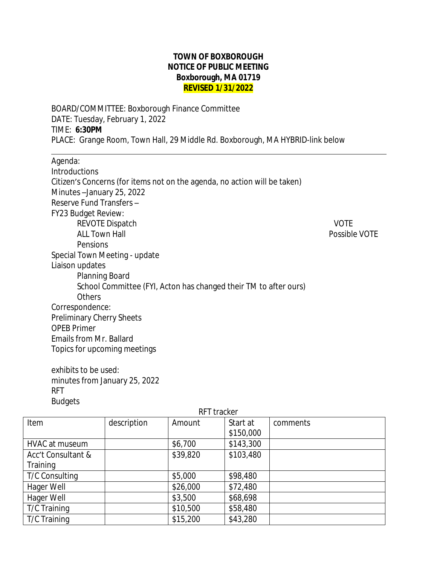## **TOWN OF BOXBOROUGH NOTICE OF PUBLIC MEETING Boxborough, MA 01719 REVISED 1/31/2022**

BOARD/COMMITTEE: Boxborough Finance Committee DATE: Tuesday, February 1, 2022 TIME: **6:30PM** PLACE: Grange Room, Town Hall, 29 Middle Rd. Boxborough, MA HYBRID-link below

| Agenda:                                                                   |               |
|---------------------------------------------------------------------------|---------------|
| Introductions                                                             |               |
| Citizen's Concerns (for items not on the agenda, no action will be taken) |               |
| Minutes-January 25, 2022                                                  |               |
| Reserve Fund Transfers -                                                  |               |
| FY23 Budget Review:                                                       |               |
| <b>REVOTE Dispatch</b>                                                    | <b>VOTE</b>   |
| <b>ALL Town Hall</b>                                                      | Possible VOTE |
| Pensions                                                                  |               |
| Special Town Meeting - update                                             |               |
| Liaison updates                                                           |               |
| Planning Board                                                            |               |
| School Committee (FYI, Acton has changed their TM to after ours)          |               |
| <b>Others</b>                                                             |               |
| Correspondence:                                                           |               |
| <b>Preliminary Cherry Sheets</b>                                          |               |
| <b>OPEB Primer</b>                                                        |               |
| Emails from Mr. Ballard                                                   |               |
| Topics for upcoming meetings                                              |               |

exhibits to be used: minutes from January 25, 2022 RFT Budgets

| RFT tracker           |             |          |           |          |  |
|-----------------------|-------------|----------|-----------|----------|--|
| Item                  | description | Amount   | Start at  | comments |  |
|                       |             |          | \$150,000 |          |  |
| HVAC at museum        |             | \$6,700  | \$143,300 |          |  |
| Acc't Consultant &    |             | \$39,820 | \$103,480 |          |  |
| Training              |             |          |           |          |  |
| <b>T/C Consulting</b> |             | \$5,000  | \$98,480  |          |  |
| Hager Well            |             | \$26,000 | \$72,480  |          |  |
| Hager Well            |             | \$3,500  | \$68,698  |          |  |
| T/C Training          |             | \$10,500 | \$58,480  |          |  |
| T/C Training          |             | \$15,200 | \$43,280  |          |  |